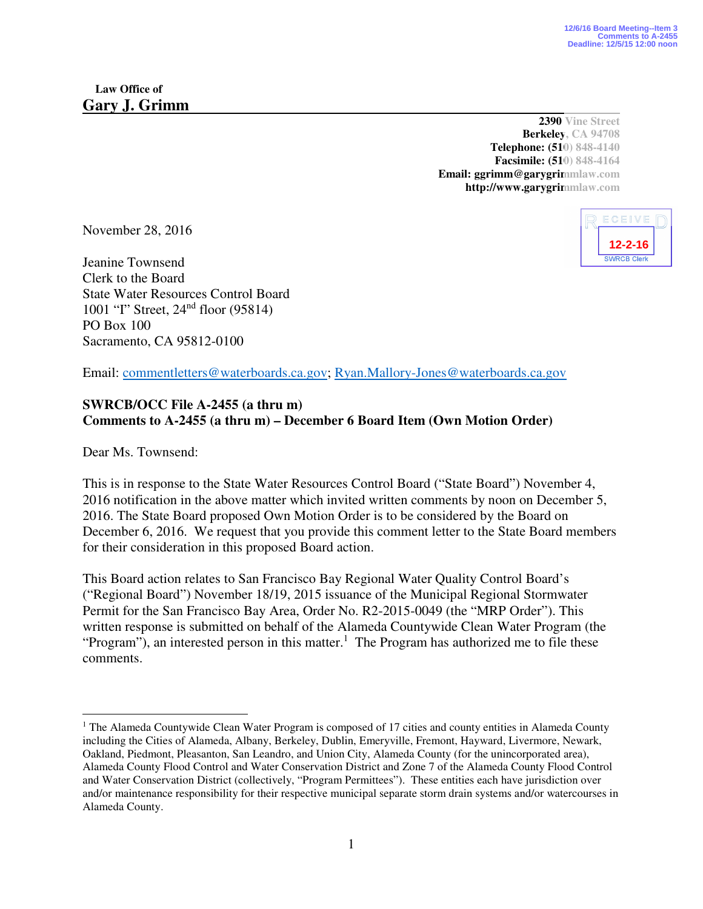**2390 Vine Street Berkeley, CA 94708 Telephone: (510) 848-4140 Facsimile: (510) 848-4164 Email: ggrimm@garygrimmlaw.com http://www.garygrimmlaw.com** 

November 28, 2016

Jeanine Townsend Clerk to the Board State Water Resources Control Board 1001 "I" Street, 24nd floor (95814) PO Box 100 Sacramento, CA 95812-0100

ECEIVE **12-2-16**

Email: commentletters@waterboards.ca.gov; Ryan.Mallory-Jones@waterboards.ca.gov

## **SWRCB/OCC File A-2455 (a thru m) Comments to A-2455 (a thru m) – December 6 Board Item (Own Motion Order)**

Dear Ms. Townsend:

-

This is in response to the State Water Resources Control Board ("State Board") November 4, 2016 notification in the above matter which invited written comments by noon on December 5, 2016. The State Board proposed Own Motion Order is to be considered by the Board on December 6, 2016. We request that you provide this comment letter to the State Board members for their consideration in this proposed Board action.

This Board action relates to San Francisco Bay Regional Water Quality Control Board's ("Regional Board") November 18/19, 2015 issuance of the Municipal Regional Stormwater Permit for the San Francisco Bay Area, Order No. R2-2015-0049 (the "MRP Order"). This written response is submitted on behalf of the Alameda Countywide Clean Water Program (the "Program"), an interested person in this matter.<sup>1</sup> The Program has authorized me to file these comments.

<sup>&</sup>lt;sup>1</sup> The Alameda Countywide Clean Water Program is composed of 17 cities and county entities in Alameda County including the Cities of Alameda, Albany, Berkeley, Dublin, Emeryville, Fremont, Hayward, Livermore, Newark, Oakland, Piedmont, Pleasanton, San Leandro, and Union City, Alameda County (for the unincorporated area), Alameda County Flood Control and Water Conservation District and Zone 7 of the Alameda County Flood Control and Water Conservation District (collectively, "Program Permittees"). These entities each have jurisdiction over and/or maintenance responsibility for their respective municipal separate storm drain systems and/or watercourses in Alameda County.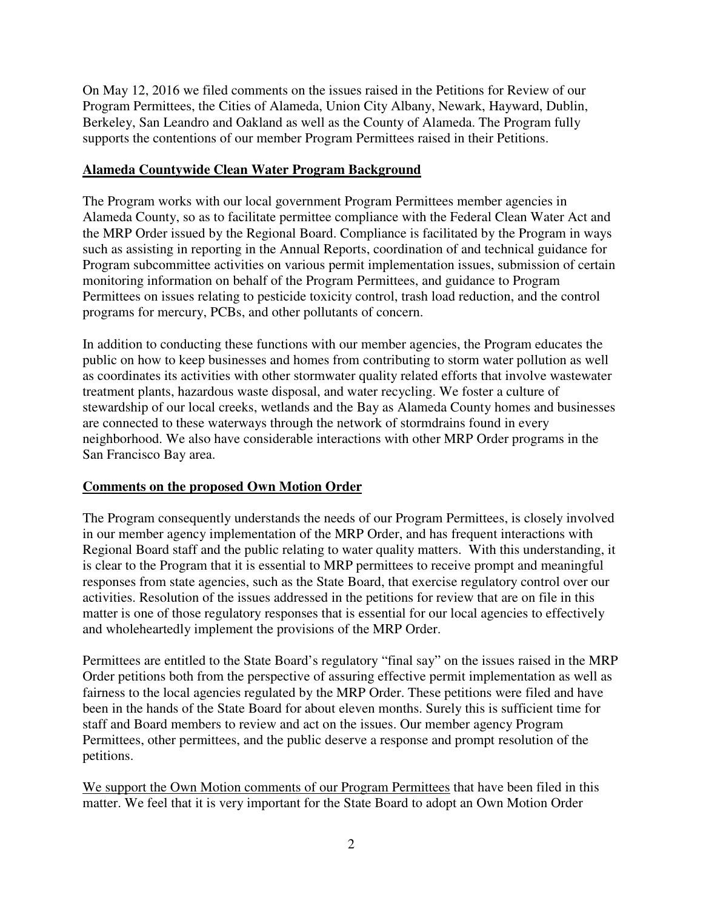On May 12, 2016 we filed comments on the issues raised in the Petitions for Review of our Program Permittees, the Cities of Alameda, Union City Albany, Newark, Hayward, Dublin, Berkeley, San Leandro and Oakland as well as the County of Alameda. The Program fully supports the contentions of our member Program Permittees raised in their Petitions.

## **Alameda Countywide Clean Water Program Background**

The Program works with our local government Program Permittees member agencies in Alameda County, so as to facilitate permittee compliance with the Federal Clean Water Act and the MRP Order issued by the Regional Board. Compliance is facilitated by the Program in ways such as assisting in reporting in the Annual Reports, coordination of and technical guidance for Program subcommittee activities on various permit implementation issues, submission of certain monitoring information on behalf of the Program Permittees, and guidance to Program Permittees on issues relating to pesticide toxicity control, trash load reduction, and the control programs for mercury, PCBs, and other pollutants of concern.

In addition to conducting these functions with our member agencies, the Program educates the public on how to keep businesses and homes from contributing to storm water pollution as well as coordinates its activities with other stormwater quality related efforts that involve wastewater treatment plants, hazardous waste disposal, and water recycling. We foster a culture of stewardship of our local creeks, wetlands and the Bay as Alameda County homes and businesses are connected to these waterways through the network of stormdrains found in every neighborhood. We also have considerable interactions with other MRP Order programs in the San Francisco Bay area.

## **Comments on the proposed Own Motion Order**

The Program consequently understands the needs of our Program Permittees, is closely involved in our member agency implementation of the MRP Order, and has frequent interactions with Regional Board staff and the public relating to water quality matters. With this understanding, it is clear to the Program that it is essential to MRP permittees to receive prompt and meaningful responses from state agencies, such as the State Board, that exercise regulatory control over our activities. Resolution of the issues addressed in the petitions for review that are on file in this matter is one of those regulatory responses that is essential for our local agencies to effectively and wholeheartedly implement the provisions of the MRP Order.

Permittees are entitled to the State Board's regulatory "final say" on the issues raised in the MRP Order petitions both from the perspective of assuring effective permit implementation as well as fairness to the local agencies regulated by the MRP Order. These petitions were filed and have been in the hands of the State Board for about eleven months. Surely this is sufficient time for staff and Board members to review and act on the issues. Our member agency Program Permittees, other permittees, and the public deserve a response and prompt resolution of the petitions.

We support the Own Motion comments of our Program Permittees that have been filed in this matter. We feel that it is very important for the State Board to adopt an Own Motion Order